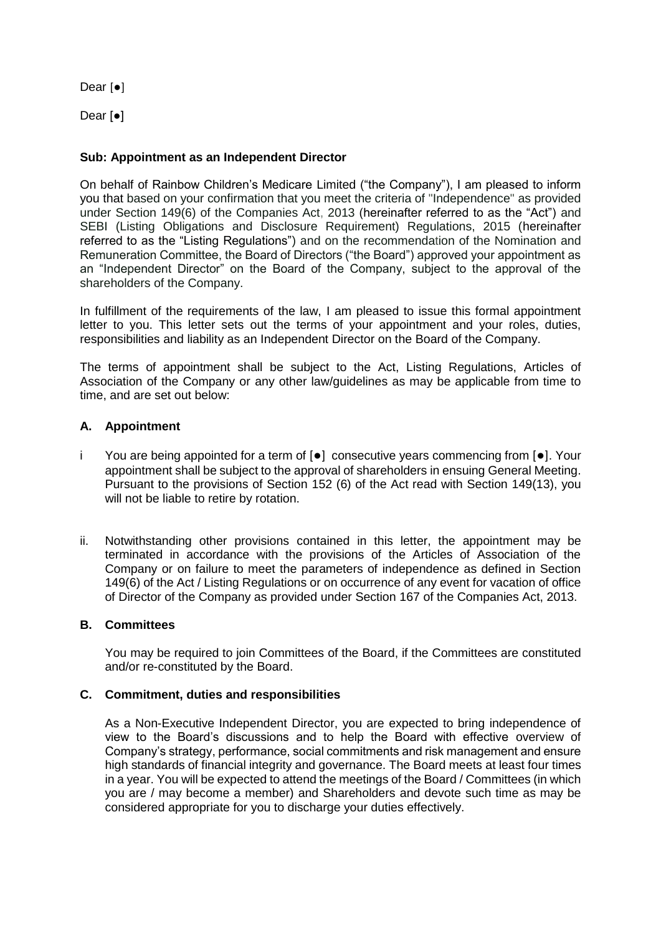Dear [●]

Dear [●]

# **Sub: Appointment as an Independent Director**

On behalf of Rainbow Children's Medicare Limited ("the Company"), I am pleased to inform you that based on your confirmation that you meet the criteria of "Independence" as provided under Section 149(6) of the Companies Act, 2013 (hereinafter referred to as the "Act") and SEBI (Listing Obligations and Disclosure Requirement) Regulations, 2015 (hereinafter referred to as the "Listing Regulations") and on the recommendation of the Nomination and Remuneration Committee, the Board of Directors ("the Board") approved your appointment as an "Independent Director" on the Board of the Company, subject to the approval of the shareholders of the Company.

In fulfillment of the requirements of the law, I am pleased to issue this formal appointment letter to you. This letter sets out the terms of your appointment and your roles, duties, responsibilities and liability as an Independent Director on the Board of the Company.

The terms of appointment shall be subject to the Act, Listing Regulations, Articles of Association of the Company or any other law/guidelines as may be applicable from time to time, and are set out below:

# **A. Appointment**

- i You are being appointed for a term of [●] consecutive years commencing from [●]. Your appointment shall be subject to the approval of shareholders in ensuing General Meeting. Pursuant to the provisions of Section 152 (6) of the Act read with Section 149(13), you will not be liable to retire by rotation.
- ii. Notwithstanding other provisions contained in this letter, the appointment may be terminated in accordance with the provisions of the Articles of Association of the Company or on failure to meet the parameters of independence as defined in Section 149(6) of the Act / Listing Regulations or on occurrence of any event for vacation of office of Director of the Company as provided under Section 167 of the Companies Act, 2013.

# **B. Committees**

You may be required to join Committees of the Board, if the Committees are constituted and/or re-constituted by the Board.

### **C. Commitment, duties and responsibilities**

As a Non-Executive Independent Director, you are expected to bring independence of view to the Board's discussions and to help the Board with effective overview of Company's strategy, performance, social commitments and risk management and ensure high standards of financial integrity and governance. The Board meets at least four times in a year. You will be expected to attend the meetings of the Board / Committees (in which you are / may become a member) and Shareholders and devote such time as may be considered appropriate for you to discharge your duties effectively.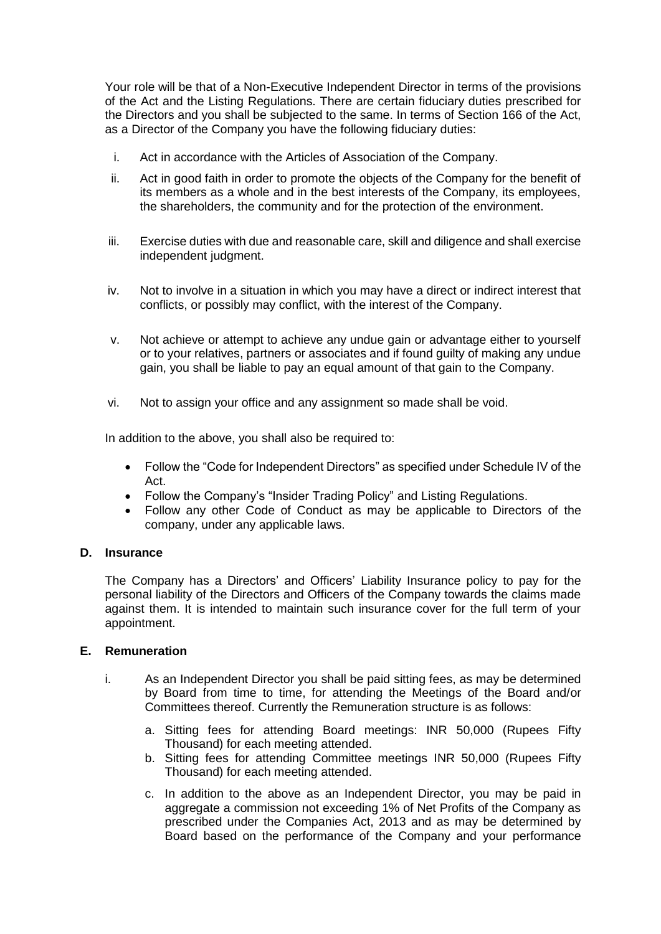Your role will be that of a Non-Executive Independent Director in terms of the provisions of the Act and the Listing Regulations. There are certain fiduciary duties prescribed for the Directors and you shall be subjected to the same. In terms of Section 166 of the Act, as a Director of the Company you have the following fiduciary duties:

- i. Act in accordance with the Articles of Association of the Company.
- ii. Act in good faith in order to promote the objects of the Company for the benefit of its members as a whole and in the best interests of the Company, its employees, the shareholders, the community and for the protection of the environment.
- iii. Exercise duties with due and reasonable care, skill and diligence and shall exercise independent judgment.
- iv. Not to involve in a situation in which you may have a direct or indirect interest that conflicts, or possibly may conflict, with the interest of the Company.
- v. Not achieve or attempt to achieve any undue gain or advantage either to yourself or to your relatives, partners or associates and if found guilty of making any undue gain, you shall be liable to pay an equal amount of that gain to the Company.
- vi. Not to assign your office and any assignment so made shall be void.

In addition to the above, you shall also be required to:

- Follow the "Code for Independent Directors" as specified under Schedule IV of the Act.
- Follow the Company's "Insider Trading Policy" and Listing Regulations.
- Follow any other Code of Conduct as may be applicable to Directors of the company, under any applicable laws.

## **D. Insurance**

The Company has a Directors' and Officers' Liability Insurance policy to pay for the personal liability of the Directors and Officers of the Company towards the claims made against them. It is intended to maintain such insurance cover for the full term of your appointment.

### **E. Remuneration**

- i. As an Independent Director you shall be paid sitting fees, as may be determined by Board from time to time, for attending the Meetings of the Board and/or Committees thereof. Currently the Remuneration structure is as follows:
	- a. Sitting fees for attending Board meetings: INR 50,000 (Rupees Fifty Thousand) for each meeting attended.
	- b. Sitting fees for attending Committee meetings INR 50,000 (Rupees Fifty Thousand) for each meeting attended.
	- c. In addition to the above as an Independent Director, you may be paid in aggregate a commission not exceeding 1% of Net Profits of the Company as prescribed under the Companies Act, 2013 and as may be determined by Board based on the performance of the Company and your performance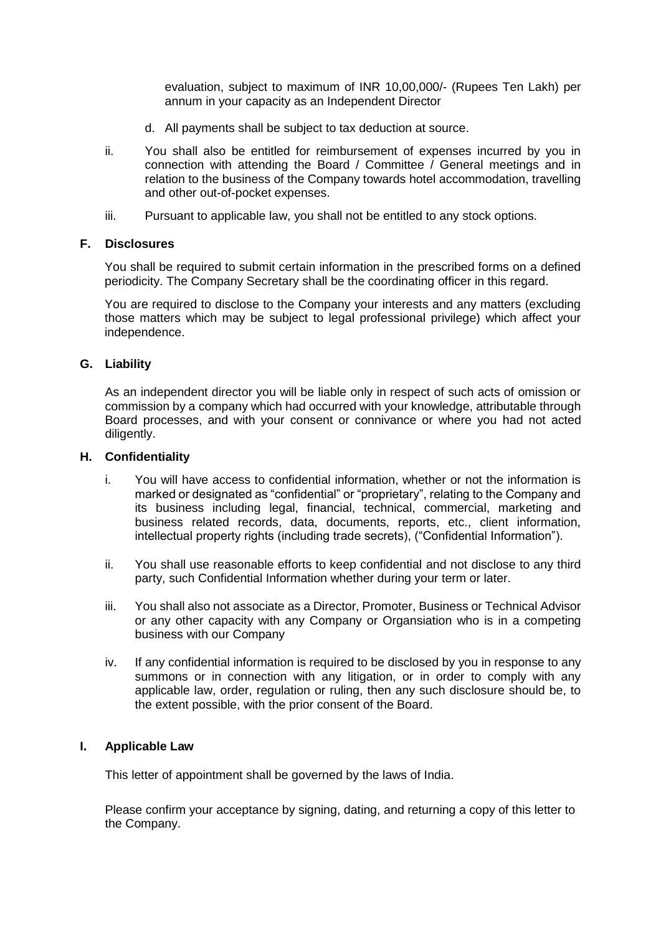evaluation, subject to maximum of INR 10,00,000/- (Rupees Ten Lakh) per annum in your capacity as an Independent Director

- d. All payments shall be subject to tax deduction at source.
- ii. You shall also be entitled for reimbursement of expenses incurred by you in connection with attending the Board / Committee / General meetings and in relation to the business of the Company towards hotel accommodation, travelling and other out-of-pocket expenses.
- iii. Pursuant to applicable law, you shall not be entitled to any stock options.

## **F. Disclosures**

You shall be required to submit certain information in the prescribed forms on a defined periodicity. The Company Secretary shall be the coordinating officer in this regard.

You are required to disclose to the Company your interests and any matters (excluding those matters which may be subject to legal professional privilege) which affect your independence.

## **G. Liability**

As an independent director you will be liable only in respect of such acts of omission or commission by a company which had occurred with your knowledge, attributable through Board processes, and with your consent or connivance or where you had not acted diligently.

### **H. Confidentiality**

- i. You will have access to confidential information, whether or not the information is marked or designated as "confidential" or "proprietary", relating to the Company and its business including legal, financial, technical, commercial, marketing and business related records, data, documents, reports, etc., client information, intellectual property rights (including trade secrets), ("Confidential Information").
- ii. You shall use reasonable efforts to keep confidential and not disclose to any third party, such Confidential Information whether during your term or later.
- iii. You shall also not associate as a Director, Promoter, Business or Technical Advisor or any other capacity with any Company or Organsiation who is in a competing business with our Company
- iv. If any confidential information is required to be disclosed by you in response to any summons or in connection with any litigation, or in order to comply with any applicable law, order, regulation or ruling, then any such disclosure should be, to the extent possible, with the prior consent of the Board.

# **I. Applicable Law**

This letter of appointment shall be governed by the laws of India.

Please confirm your acceptance by signing, dating, and returning a copy of this letter to the Company.